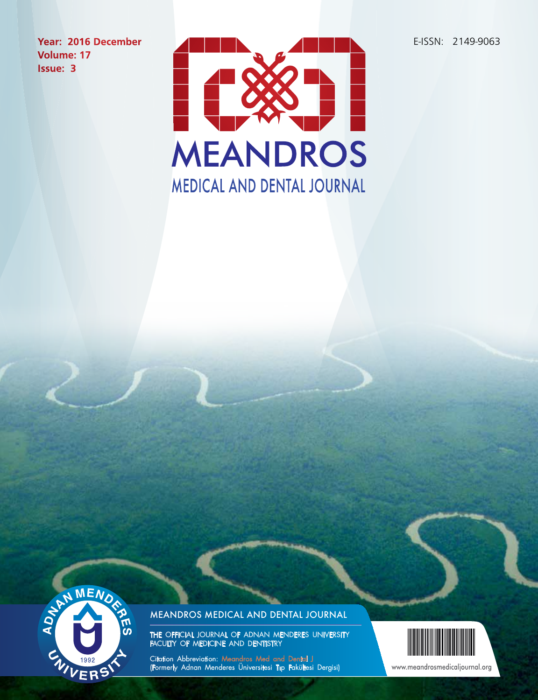E-ISSN: 2149-9063

**Year: 2016 December Volume: 17 Issue: 3**





## Meandros Medical And Dental Journal

THE OFFICIAL JOURNAL OF ADNAN MENDERES UNIVERSITY FACULTY OF MEDICINE AND DENTISTRY

Citation Abbreviation: Meandros Med and Dental J (Formerly Adnan Menderes Üniversitesi Tıp Fakültesi Dergisi)



www.meandrosmedicaljournal.org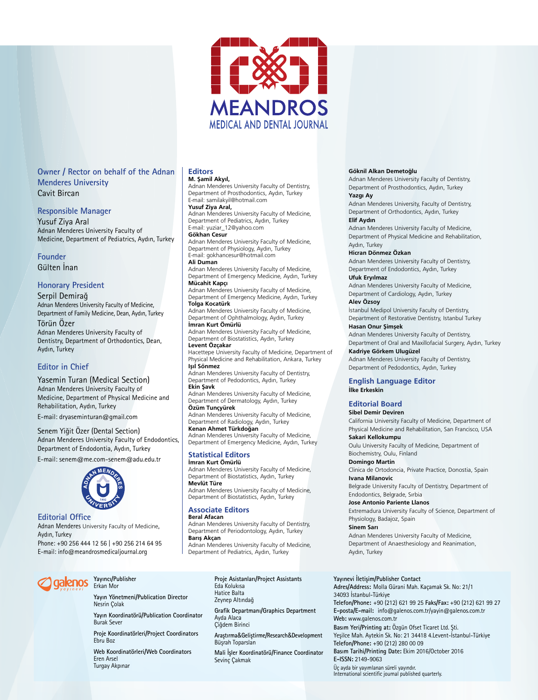

#### **Owner / Rector on behalf of the Adnan Menderes University** Cavit Bircan

#### **Responsible Manager**

Yusuf Ziya Aral Adnan Menderes University Faculty of Medicine, Department of Pediatrics, Aydın, Turkey

#### **Founder** Gülten İnan

#### **Honorary President**

Serpil Demirağ Adnan Menderes University Faculty of Medicine, Department of Family Medicine, Dean, Aydın, Turkey Törün Özer Adnan Menderes University Faculty of Dentistry, Department of Orthodontics, Dean, Aydın, Turkey

#### **Editor in Chief**

Yasemin Turan (Medical Section) Adnan Menderes University Faculty of Medicine, Department of Physical Medicine and Rehabilitation, Aydın, Turkey

E-mail: dryaseminturan@gmail.com

#### Senem Yiğit Özer (Dental Section) Adnan Menderes University Faculty of Endodontics, Department of Endodontia, Aydın, Turkey

E-mail: senem@me.com-senem@adu.edu.tr



**Editorial Office** Adnan Menderes University Faculty of Medicine, Aydın, Turkey Phone: +90 256 444 12 56 | +90 256 214 64 95 E-mail: info@meandrosmedicaljournal.org

#### **Editors M. Şamil Akyıl,**

Adnan Menderes University Faculty of Dentistry, Department of Prosthodontics, Aydın, Turkey E-mail: samilakyil@hotmail.com

#### **Yusuf Ziya Aral,**  Adnan Menderes University Faculty of Medicine, Department of Pediatrics, Aydın, Turkey E-mail: yuziar\_12@yahoo.com

**Gökhan Cesur**

Adnan Menderes University Faculty of Medicine, Department of Physiology, Aydın, Turkey E-mail: gokhancesur@hotmail.com **Ali Duman**

Adnan Menderes University Faculty of Medicine, Department of Emergency Medicine, Aydın, Turkey

**Mücahit Kapçı** Adnan Menderes University Faculty of Medicine, Department of Emergency Medicine, Aydın, Turkey **Tolga Kocatürk**

Adnan Menderes University Faculty of Medicine, Department of Ophthalmology, Aydın, Turkey **İmran Kurt Ömürlü**

Adnan Menderes University Faculty of Medicine, Department of Biostatistics, Aydın, Turkey **Levent Özçakar**

Hacettepe University Faculty of Medicine, Department of Physical Medicine and Rehabilitation, Ankara, Turkey **Işıl Sönmez**

Adnan Menderes University Faculty of Dentistry, Department of Pedodontics, Aydın, Turkey **Ekin Şavk**

Adnan Menderes University Faculty of Medicine, Department of Dermatology, Aydın, Turkey **Özüm Tunçyürek**

Adnan Menderes University Faculty of Medicine, Department of Radiology, Aydın, Turkey

**Kenan Ahmet Türkdoğan** Adnan Menderes University Faculty of Medicine, Department of Emergency Medicine, Aydın, Turkey

#### **Statistical Editors İmran Kurt Ömürlü**

Adnan Menderes University Faculty of Medicine, Department of Biostatistics, Aydın, Turkey **Mevlüt Türe** Adnan Menderes University Faculty of Medicine,

Department of Biostatistics, Aydın, Turkey

### **Associate Editors**

**Beral Afacan** Adnan Menderes University Faculty of Dentistry, Department of Periodontology, Aydın, Turkey **Barış Akçan** Adnan Menderes University Faculty of Medicine, Department of Pediatrics, Aydın, Turkey

#### **Göknil Alkan Demetoğlu**

Adnan Menderes University Faculty of Dentistry, Department of Prosthodontics, Aydın, Turkey

#### **Yazgı Ay**

Adnan Menderes University, Faculty of Dentistry, Department of Orthodontics, Aydın, Turkey

#### **Elif Aydın**

Adnan Menderes University Faculty of Medicine, Department of Physical Medicine and Rehabilitation, Aydın, Turkey

#### **Hicran Dönmez Özkan**

Adnan Menderes University Faculty of Dentistry, Department of Endodontics, Aydın, Turkey **Ufuk Eryılmaz**

Adnan Menderes University Faculty of Medicine, Department of Cardiology, Aydın, Turkey **Alev Özsoy**

İstanbul Medipol University Faculty of Dentistry, Department of Restorative Dentistry, Istanbul Turkey **Hasan Onur Şimşek**

#### Adnan Menderes University Faculty of Dentistry, Department of Oral and Maxillofacial Surgery, Aydın, Turkey

**Kadriye Görkem Ulugüzel** Adnan Menderes University Faculty of Dentistry, Department of Pedodontics, Aydın, Turkey

#### **English Language Editor İlke Erkeskin**

#### **Editorial Board**

#### **Sibel Demir Deviren**

California University Faculty of Medicine, Department of Physical Medicine and Rehabilitation, San Francisco, USA **Sakari Kellokumpu**

Oulu University Faculty of Medicine, Department of Biochemistry, Oulu, Finland

**Domingo Martin**

Clinica de Ortodoncia, Private Practice, Donostia, Spain **Ivana Milanovic**

Belgrade University Faculty of Dentistry, Department of Endodontics, Belgrade, Sırbia

#### **Jose Antonio Pariente Llanos**

Extremadura University Faculty of Science, Department of Physiology, Badajoz, Spain

**Sinem Sarı**

Adnan Menderes University Faculty of Medicine, Department of Anaesthesiology and Reanimation, Aydın, Turkey

#### **Yayıncı/Publisher** aalenos Erkan Mor

**Yayın Yönetmeni/Publication Director** Nesrin Çolak

**Yayın Koordinatörü/Publication Coordinator** Burak Sever

**Proje Koordinatörleri/Project Coordinators** Ebru Boz

**Web Koordinatörleri/Web Coordinators** Eren Arsel Turgay Akpınar

# **Proje Asistanları/Project Assistants**

**Grafik Departmanı/Graphics Department** Ayda Alaca Çiğdem Birinci

**Araştırma**&**Geliştirme/Research**&**Development** Büşrah Toparslan

**Mali İşler Koordinatörü/Finance Coordinator** Sevinç Çakmak

#### **Yayınevi İletişim/Publisher Contact**

**Adres/Address:** Molla Gürani Mah. Kaçamak Sk. No: 21/1 34093 İstanbul-Türkiye **Telefon/Phone:** +90 (212) 621 99 25 **Faks/Fax:** +90 (212) 621 99 27 **E-posta/E-mail:** info@galenos.com.tr/yayin@galenos.com.tr **Web:** www.galenos.com.tr **Basım Yeri/Printing at:** Özgün Ofset Ticaret Ltd. Şti. Yeşilce Mah. Aytekin Sk. No: 21 34418 4.Levent-İstanbul-Türkiye **Telefon/Phone:** +90 (212) 280 00 09 **Basım Tarihi/Printing Date:** Ekim 2016/October 2016 **E-ISSN:** 2149-9063 Üç ayda bir yayımlanan süreli yayındır. International scientific journal published quarterly.

Eda Kolukısa Hatice Balta Zeynep Altındağ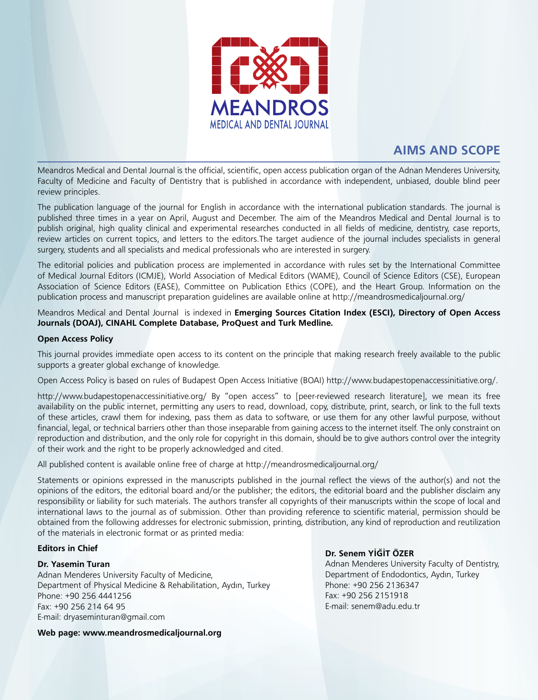

# **AIMS AND SCOPE**

Meandros Medical and Dental Journal is the official, scientific, open access publication organ of the Adnan Menderes University, Faculty of Medicine and Faculty of Dentistry that is published in accordance with independent, unbiased, double blind peer review principles.

The publication language of the journal for English in accordance with the international publication standards. The journal is published three times in a year on April, August and December. The aim of the Meandros Medical and Dental Journal is to publish original, high quality clinical and experimental researches conducted in all fields of medicine, dentistry, case reports, review articles on current topics, and letters to the editors.The target audience of the journal includes specialists in general surgery, students and all specialists and medical professionals who are interested in surgery.

The editorial policies and publication process are implemented in accordance with rules set by the International Committee of Medical Journal Editors (ICMJE), World Association of Medical Editors (WAME), Council of Science Editors (CSE), European Association of Science Editors (EASE), Committee on Publication Ethics (COPE), and the Heart Group. Information on the publication process and manuscript preparation guidelines are available online at http://meandrosmedicaljournal.org/

Meandros Medical and Dental Journal is indexed in **Emerging Sources Citation Index (ESCI), Directory of Open Access Journals (DOAJ), CINAHL Complete Database, ProQuest and Turk Medline.**

#### **Open Access Policy**

This journal provides immediate open access to its content on the principle that making research freely available to the public supports a greater global exchange of knowledge.

Open Access Policy is based on rules of Budapest Open Access Initiative (BOAI) http://www.budapestopenaccessinitiative.org/.

http://www.budapestopenaccessinitiative.org/ By "open access" to [peer-reviewed research literature], we mean its free availability on the public internet, permitting any users to read, download, copy, distribute, print, search, or link to the full texts of these articles, crawl them for indexing, pass them as data to software, or use them for any other lawful purpose, without financial, legal, or technical barriers other than those inseparable from gaining access to the internet itself. The only constraint on reproduction and distribution, and the only role for copyright in this domain, should be to give authors control over the integrity of their work and the right to be properly acknowledged and cited.

All published content is available online free of charge at http://meandrosmedicaljournal.org/

Statements or opinions expressed in the manuscripts published in the journal reflect the views of the author(s) and not the opinions of the editors, the editorial board and/or the publisher; the editors, the editorial board and the publisher disclaim any responsibility or liability for such materials. The authors transfer all copyrights of their manuscripts within the scope of local and international laws to the journal as of submission. Other than providing reference to scientific material, permission should be obtained from the following addresses for electronic submission, printing, distribution, any kind of reproduction and reutilization of the materials in electronic format or as printed media:

#### **Editors in Chief**

#### **Dr. Yasemin Turan**

Adnan Menderes University Faculty of Medicine, Department of Physical Medicine & Rehabilitation, Aydın, Turkey Phone: +90 256 4441256 Fax: +90 256 214 64 95 E-mail: dryaseminturan@gmail.com

#### **Dr. Senem YİĞİT ÖZER**

Adnan Menderes University Faculty of Dentistry, Department of Endodontics, Aydın, Turkey Phone: +90 256 2136347 Fax: +90 256 2151918 E-mail: senem@adu.edu.tr

**Web page: www.meandrosmedicaljournal.org**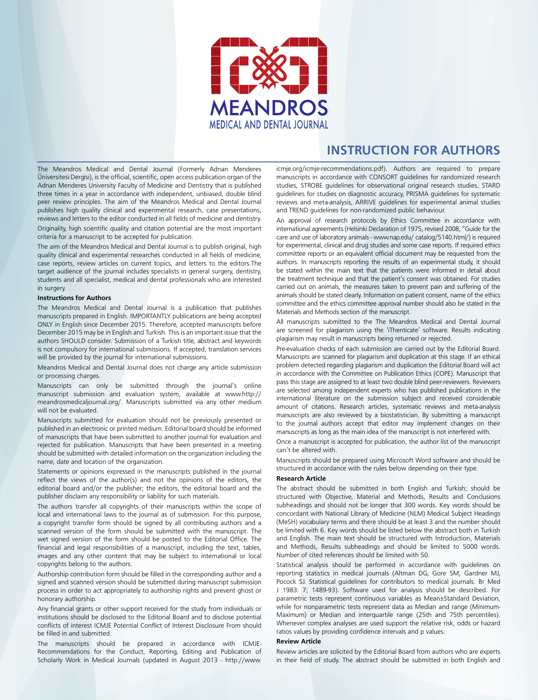

## **INSTRUCTION FOR AUTHORS**

The Meandros Medical and Dental Journal (Formerly Adnan Menderes Üniversitesi Dergisi), is the official, scientific, open access publication organ of the Adnan Menderes University Faculty of Medicine and Dentistry that is published three times in a year in accordance with independent, unbiased, double blind peer review principles. The aim of the Meandros Medical and Dental Journal publishes high quality clinical and experimental research, case presentations, reviews and letters to the editor conducted in all fields of medicine and dentistry. Originality, high scientific quality and citation potential are the most important criteria for a manuscript to be accepted for publication.

The aim of the Meandros Medical and Dental Journal is to publish original, high quality clinical and experimental researches conducted in all fields of medicine, case reports, review articles on current topics, and letters to the editors.The target audience of the journal includes specialists in general surgery, dentistry, students and all specialist, medical and dental professionals who are interested in surgery.

#### **Instructions for Authors**

The Meandros Medical and Dental Journal is a publication that publishes manuscripts prepared in English. IMPORTANTLY publications are being accepted ONLY in English since December 2015. Therefore, accepted manuscripts before December 2015 may be in English and Turkish. This is an important issue that the authors SHOULD consider. Submission of a Turkish title, abstract and keywords is not compulsory for international submissions. If accepted, translation services will be provided by the journal for international submissions.

Meandros Medical and Dental Journal does not charge any article submission or processing charges.

Manuscripts can only be submitted through the journal's online manuscript submission and evaluation system, available at www.http:// meandrosmedicaljournal.org/. Manuscripts submitted via any other medium will not be evaluated.

Manuscripts submitted for evaluation should not be previously presented or published in an electronic or printed medium. Editorial board should be informed of manuscripts that have been submitted to another journal for evaluation and rejected for publication. Manuscripts that have been presented in a meeting should be submitted with detailed information on the organization including the name, date and location of the organization.

Statements or opinions expressed in the manuscripts published in the journal reflect the views of the author(s) and not the opinions of the editors, the editorial board and/or the publisher; the editors, the editorial board and the publisher disclaim any responsibility or liability for such materials.

The authors transfer all copyrights of their manuscripts within the scope of local and international laws to the journal as of submission. For this purpose, a copyright transfer form should be signed by all contributing authors and a scanned version of the form should be submitted with the manuscript. The wet signed version of the form should be posted to the Editorial Office. The financial and legal responsibilities of a manuscript, including the text, tables, images and any other content that may be subject to international or local copyrights belong to the authors.

Authorship contribution form should be filled in the corresponding author and a signed and scanned version should be submitted during manuscript submission process in order to act appropriately to authorship rights and prevent ghost or honorary authorship.

Any financial grants or other support received for the study from individuals or institutions should be disclosed to the Editorial Board and to disclose potential conflicts of interest ICMJE Potential Conflict of Interest Disclosure From should be filled in and submitted.

The manuscripts should be prepared in accordance with ICMJE-Recommendations for the Conduct, Reporting, Editing and Publication of Scholarly Work in Medical Journals (updated in August 2013 - http://www. icmje.org/icmje-recommendations.pdf). Authors are required to prepare manuscripts in accordance with CONSORT guidelines for randomized research studies, STROBE guidelines for observational original research studies, STARD guidelines for studies on diagnostic accuracy, PRISMA guidelines for systematic reviews and meta-analysis, ARRIVE guidelines for experimental animal studies and TREND guidelines for non-randomized public behaviour.

An approval of research protocols by Ethics Committee in accordance with international agreements (Helsinki Declaration of 1975, revised 2008, "Guide for the care and use of laboratory animals - www.nap.edu/ catalog/5140.html/) is required for experimental, clinical and drug studies and some case reports. If required ethics committee reports or an equivalent official document may be requested from the authors. In manuscripts reporting the results of an experimental study, it should be stated within the main text that the patients were informed in detail about the treatment technique and that the patient's consent was obtained. For studies carried out on animals, the measures taken to prevent pain and suffering of the animals should be stated clearly. Information on patient consent, name of the ethics committee and the ethics committee approval number should also be stated in the Materials and Methods section of the manuscript.

All manuscripts submitted to the The Meandros Medical and Dental Journal are screened for plagiarism using the 'iThenticate' software. Results indicating plagiarism may result in manuscripts being returned or rejected.

Pre-evaluation checks of each submission are carried out by the Editorial Board. Manuscripts are scanned for plagiarism and duplication at this stage. If an ethical problem detected regarding plagiarism and duplication the Editorial Board will act in accordance with the Committee on Publication Ethics (COPE). Manuscript that pass this stage are assigned to at least two double blind peer-reviewers. Reviewers are selected among independent experts who has published publications in the international literature on the submission subject and received considerable amount of citations. Research articles, systematic reviews and meta-analysis manuscripts are also reviewed by a biostatistician. By submitting a manuscript to the journal authors accept that editor may implement changes on their manuscripts as long as the main idea of the manuscript is not interfered with.

Once a manuscript is accepted for publication, the author list of the manuscript can't be altered with.

Manuscripts should be prepared using Microsoft Word software and should be structured in accordance with the rules below depending on their type.

#### **Research Article**

The abstract should be submitted in both English and Turkish; should be structured with Objective, Material and Methods, Results and Conclusions subheadings and should not be longer that 300 words. Key words should be concordant with National Library of Medicine (NLM) Medical Subject Headings (MeSH) vocabulary terms and there should be at least 3 and the number should be limited with 6. Key words should be listed below the abstract both in Turkish and English. The main text should be structured with Introduction, Materials and Methods, Results subheadings and should be limited to 5000 words. Number of cited references should be limited with 50.

Statistical analysis should be performed in accordance with guidelines on reporting statistics in medical journals (Altman DG, Gore SM, Gardner MJ, Pocock SJ. Statistical guidelines for contributors to medical journals. Br Med J 1983: 7; 1489-93). Software used for analysis should be described. For parametric tests represent continuous variables as Mean±Standard Deviation, while for nonparametric tests represent data as Median and range (Minimum-Maximum) or Median and interquartile range (25th and 75th percentiles). Whenever complex analyses are used support the relative risk, odds or hazard ratios values by providing confidence intervals and p values.

#### **Review Article**

Review articles are solicited by the Editorial Board from authors who are experts in their field of study. The abstract should be submitted in both English and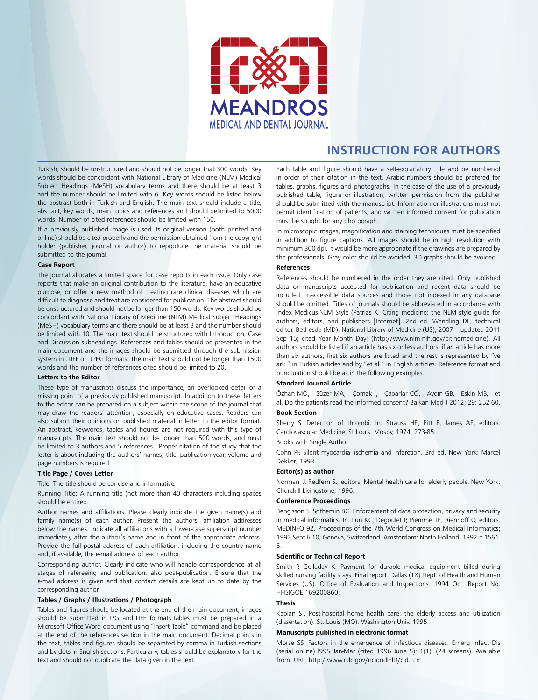

# **INSTRUCTION FOR AUTHORS**

Turkish; should be unstructured and should not be longer that 300 words. Key words should be concordant with National Library of Medicine (NLM) Medical Subject Headings (MeSH) vocabulary terms and there should be at least 3 and the number should be limited with 6. Key words should be listed below the abstract both in Turkish and English. The main text should include a title, abstract, key words, main topics and references and should belimited to 5000 words. Number of cited references should be limited with 150.

If a previously published image is used its original version (both printed and online) should be cited properly and the permission obtained from the copyright holder (publisher, journal or author) to reproduce the material should be submitted to the journal.

#### **Case Report**

The journal allocates a limited space for case reports in each issue. Only case reports that make an original contribution to the literature, have an educative purpose, or offer a new method of treating rare clinical diseases which are difficult to diagnose and treat are considered for publication. The abstract should be unstructured and should not be longer than 150 words. Key words should be concordant with National Library of Medicine (NLM) Medical Subject Headings (MeSH) vocabulary terms and there should be at least 3 and the number should be limited with 10. The main text should be structured with Introduction, Case and Discussion subheadings. References and tables should be presented in the main document and the images should be submitted through the submission system in .TIFF or .JPEG formats. The main text should not be longer than 1500 words and the number of references cited should be limited to 20.

#### **Letters to the Editor**

These type of manuscripts discuss the importance, an overlooked detail or a missing point of a previously published manuscript. In addition to these, letters to the editor can be prepared on a subject within the scope of the journal that may draw the readers' attention, especially on educative cases. Readers can also submit their opinions on published material in letter to the editor format. An abstract, keywords, tables and figures are not required with this type of manuscripts. The main text should not be longer than 500 words, and must be limited to 3 authors and 5 references. Proper citation of the study that the letter is about including the authors' names, title, publication year, volume and page numbers is required.

#### **Title Page / Cover Letter**

Title: The title should be concise and informative.

Running Title: A running title (not more than 40 characters including spaces should be entired.

Author names and affiliations: Please clearly indicate the given name(s) and family name(s) of each author. Present the authors' affiliation addresses below the names. Indicate all affiliations with a lower-case superscript number immediately after the author's name and in front of the appropriate address. Provide the full postal address of each affiliation, including the country name and, if available, the e-mail address of each author.

Corresponding author. Clearly indicate who will handle correspondence at all stages of refereeing and publication, also post-publication. Ensure that the e-mail address is given and that contact details are kept up to date by the corresponding author.

#### **Tables / Graphs / Illustrations / Photograph**

Tables and figures should be located at the end of the main document, images should be submitted in.JPG and.TIFF formats.Tables must be prepared in a Microsoft Office Word document using "Insert Table" command and be placed at the end of the references section in the main document. Decimal points in the text, tables and figures should be separated by comma in Turkish sections and by dots in English sections. Particularly, tables should be explanatory for the text and should not duplicate the data given in the text.

Each table and figure should have a self-explanatory title and be numbered in order of their citation in the text. Arabic numbers should be prefered for tables, graphs, figures and photographs. In the case of the use of a previously published table, figure or illustration, written permission from the publisher should be submitted with the manuscript. Information or illustrations must not permit identification of patients, and written informed consent for publication must be sought for any photograph.

In microscopic images, magnification and staining techniques must be specified in addition to figure captions. All images should be in high resolution with minimum 300 dpi. It would be more appropriate if the drawings are prepared by the professionals. Gray color should be avoided. 3D graphs should be avoided.

#### **References**

References should be numbered in the order they are cited. Only published data or manuscripts accepted for publication and recent data should be included. Inaccessible data sources and those not indexed in any database should be omitted. Titles of journals should be abbreviated in accordance with Index Medicus-NLM Style (Patrias K. Citing medicine: the NLM style guide for authors, editors, and publishers [Internet]. 2nd ed. Wendling DL, technical editor. Bethesda (MD): National Library of Medicine (US); 2007 - [updated 2011 Sep 15; cited Year Month Day] (http://www.nlm.nih.gov/citingmedicine). All authors should be listed if an article has six or less authors; if an article has more than six authors, first six authors are listed and the rest is represented by "ve ark." in Turkish articles and by "et al." in English articles. Reference format and punctuation should be as in the following examples.

#### **Standard Journal Article**

Özhan MÖ, Süzer MA, Çomak İ, Çaparlar CÖ, Aydın GB, Eşkin MB, et al. Do the patients read the informed consent? Balkan Med J 2012; 29: 252-60.

#### **Book Section**

Sherry S. Detection of thrombi. In: Strauss HE, Pitt B, James AE, editors. Cardiovascular Medicine. St Louis: Mosby, 1974: 273-85.

Books with Single Author

Cohn PF. Silent myocardial ischemia and infarction. 3rd ed. New York: Marcel Dekker; 1993.

#### **Editor(s) as author**

Norman IJ, Redfern SJ, editors. Mental health care for elderly people. New York: Churchill Livingstone; 1996.

#### **Conference Proceedings**

Bengisson S. Sothemin BG. Enforcement of data protection, privacy and security in medical informatics. In: Lun KC, Degoulet P, Piemme TE, Rienhoff O, editors. MEDINFO 92. Proceedings of the 7th World Congress on Medical Informatics; 1992 Sept 6-10; Geneva, Switzerland. Amsterdam: North-Holland; 1992.p.1561- 5.

#### **Scientific or Technical Report**

Smith P. Golladay K. Payment for durable medical equipment billed during skilled nursing facility stays. Final report. Dallas (TX) Dept. of Health and Human Services (US). Office of Evaluation and Inspections: 1994 Oct. Report No: HHSIGOE 169200860.

#### **Thesis**

Kaplan SI. Post-hospital home health care: the elderly access and utilization (dissertation). St. Louis (MO): Washington Univ. 1995.

#### **Manuscripts published in electronic format**

Morse SS. Factors in the emergence of infectious diseases. Emerg Infect Dis (serial online) l995 Jan-Mar (cited 1996 June 5): 1(1): (24 screens). Available from: URL: http:/ www.cdc.gov/ncidodlElD/cid.htm.